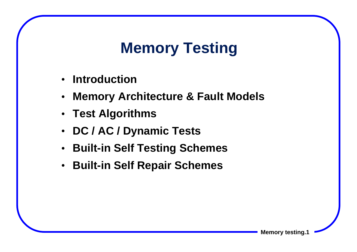# **Memory Testing**

- •**Introduction**
- •**Memory Architecture & Fault Models**
- **Test Algorithms**
- **DC / AC / Dynamic Tests**
- **Built-in Self Testing Schemes**
- **Built-in Self Repair Schemes**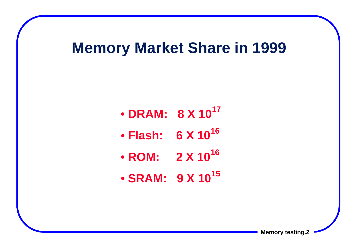#### **Memory Market Share in 1999**

- • **DRAM: 8 X 10<sup>17</sup>**
- • **Flash: 6 X 10<sup>16</sup>**
- • **ROM: 2 X 10<sup>16</sup>**
- • **SRAM: 9 X 10<sup>15</sup>**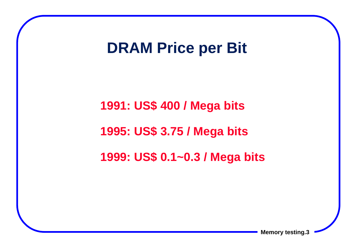#### **DRAM Price per Bit**

**1991: US\$ 400 / Mega bits 1995: US\$ 3.75 / Mega bits 1999: US\$ 0.1~0.3 / Mega bits**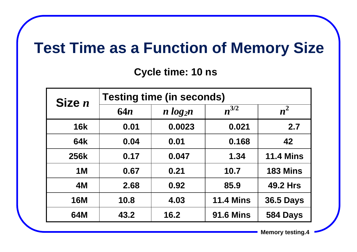### **Test Time as a Function of Memory Size**

**Cycle time: 10 ns**

| Size $n$    | <b>Testing time (in seconds)</b> |              |                  |                  |  |
|-------------|----------------------------------|--------------|------------------|------------------|--|
|             | 64n                              | $n \log_2 n$ | $n^{3/2}$        | $n^2$            |  |
| <b>16k</b>  | 0.01                             | 0.0023       | 0.021            | 2.7              |  |
| 64k         | 0.04                             | 0.01         | 0.168            | 42               |  |
| <b>256k</b> | 0.17                             | 0.047        | 1.34             | <b>11.4 Mins</b> |  |
| <b>1M</b>   | 0.67                             | 0.21         | 10.7             | <b>183 Mins</b>  |  |
| 4M          | 2.68                             | 0.92         | 85.9             | <b>49.2 Hrs</b>  |  |
| <b>16M</b>  | 10.8                             | 4.03         | <b>11.4 Mins</b> | <b>36.5 Days</b> |  |
| 64M         | 43.2                             | 16.2         | <b>91.6 Mins</b> | 584 Days         |  |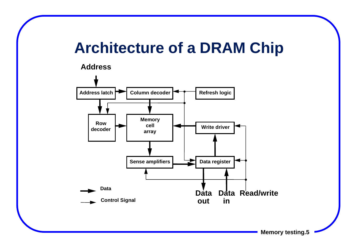## **Architecture of a DRAM Chip**



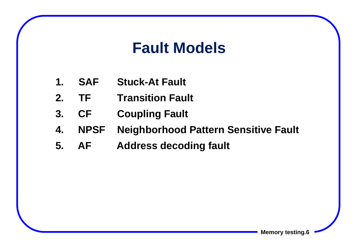### **Fault Models**

- **1. SAF Stuck-At Fault**
- **2. TF Transition Fault**
- **3. CF Coupling Fault**
- **4. NPSF Neighborhood Pattern Sensitive Fault**
- **5. AF Address decoding fault**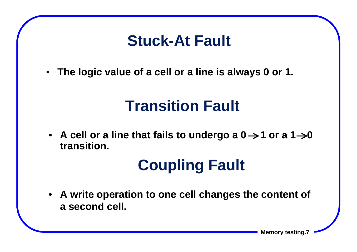### **Stuck-At Fault**

• **The logic value of a cell or a line is always 0 or 1.**

# **Transition Fault**

•  $\,$  A cell or a line that fails to undergo a 0  $\rightarrow$  1 or a 1  $\rightarrow$ 0 **transition.**

# **Coupling Fault**

• **A write operation to one cell changes the content of a second cell.**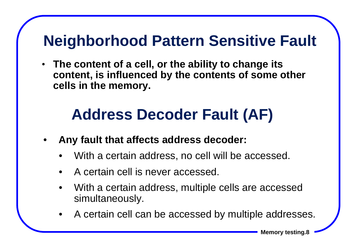# **Neighborhood Pattern Sensitive Fault**

• **The content of a cell, or the ability to change its content, is influenced by the contents of some other cells in the memory.**

# **Address Decoder Fault (AF)**

- • **Any fault that affects address decoder:**
	- •With a certain address, no cell will be accessed.
	- •A certain cell is never accessed.
	- • With a certain address, multiple cells are accessed simultaneously.
	- $\bullet$ A certain cell can be accessed by multiple addresses.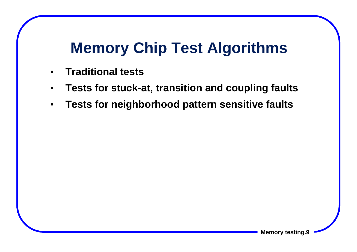# **Memory Chip Test Algorithms**

- $\bullet$ **Traditional tests**
- •**Tests for stuck-at, transition and coupling faults**
- •**Tests for neighborhood pattern sensitive faults**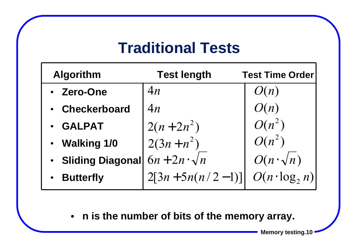### **Traditional Tests**

| <b>Algorithm</b>   | <b>Test length</b>   | <b>Test Time Order</b> |
|--------------------|----------------------|------------------------|
| • Zero-One         | 4n                   | O(n)                   |
| • Checkerboard     | 4n                   | O(n)                   |
| <b>• GALPAT</b>    | $2(n+2n^2)$          | $O(n^2)$               |
| • Walking 1/0      | $2(3n+n^2)$          | $O(n^2)$               |
| • Sliding Diagonal | $6n+2n\cdot\sqrt{n}$ | $O(n \cdot \sqrt{n})$  |
| <b>Butterfly</b>   | $2[3n+5n(n/2-1)]$    | $O(n \cdot \log_2 n)$  |
|                    |                      |                        |

• **n is the number of bits of the memory array.**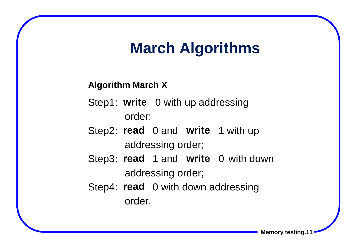### **March Algorithms**

#### **Algorithm March X**

- Step1: **write** 0 with up addressing order;
- Step2: **read** 0 and **write** 1 with up addressing order;
- Step3: **read** 1 and **write** 0 with down addressing order;
- Step4: **read** 0 with down addressing order.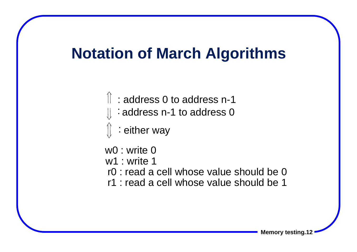#### **Notation of March Algorithms**

- : address 0 to address n-1
- : address n-1 to address 0
- : either way
- w0 : write 0
- w1 : write 1
- r0 : read a cell whose value should be 0
- r1 : read a cell whose value should be 1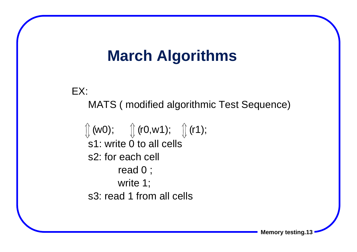### **March Algorithms**

EX:

MATS ( modified algorithmic Test Sequence)

s1: write 0 to all cellss2: for each cell read 0 ; write 1; s3: read 1 from all cells  $\iint$  (w0);  $\iint$  (r0,w1);  $\iint$  (r1);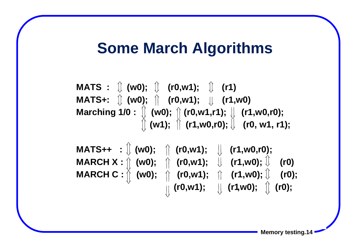#### **Some March Algorithms**

**MATS** :  $\left(\begin{array}{cc} w0 \\ w0 \end{array}\right)$ ;  $\left(\begin{array}{cc} r0 \\ w1 \end{array}\right)$ ;  $\left(\begin{array}{cc} r1 \\ w1 \end{array}\right)$ **MATS+: (w0); (r0,w1); (r1,w0) Marching 1/0 : (w0); (r0,w1,r1); (r1,w0,r0); (w1); (r1,w0,r0); (r0, w1, r1);**

**MATS++ : (w0); (r0,w1); (r1,w0,r0); MARCH X : (w0); (r0,w1); (r1,w0); (r0) MARCH C : (w0); (r0,w1); (r1,w0); (r0); (r0,w1); (r1,w0); (r0);**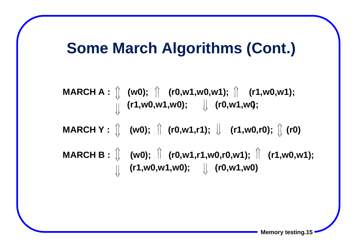### **Some March Algorithms (Cont.)**

**MARCH A : (w0); (r0,w1,w0,w1); (r1,w0,w1); (r1,w0,w1,w0); (r0,w1,w0); MARCH Y** :  $\[\]$  (w0);  $\[\]$  (r0,w1,r1);  $\[\]$  (r1,w0,r0);  $\[\]$  (r0) **MARCH B** :  $\[\n\]\n$  (w0);  $\[\n\]\n$  (r0,w1,r1,w0,r0,w1);  $\[\n\]\n$  (r1,w0,w1); **(r1,w0,w1,w0); (r0,w1,w0 )**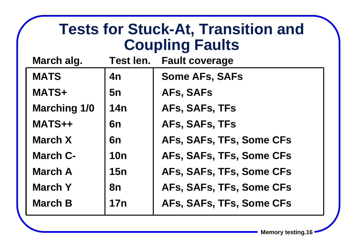### **Tests for Stuck-At, Transition and Coupling Faults**

| March alg.          | Test len.  | <b>Fault coverage</b>    |
|---------------------|------------|--------------------------|
| <b>MATS</b>         | 4n         | <b>Some AFs, SAFs</b>    |
| <b>MATS+</b>        | 5n         | AFs, SAFs                |
| <b>Marching 1/0</b> | <b>14n</b> | AFs, SAFs, TFs           |
| MATS++              | 6n         | AFs, SAFs, TFs           |
| <b>March X</b>      | 6n         | AFs, SAFs, TFs, Some CFs |
| <b>March C-</b>     | <b>10n</b> | AFs, SAFs, TFs, Some CFs |
| <b>March A</b>      | 15n        | AFs, SAFs, TFs, Some CFs |
| <b>March Y</b>      | 8n         | AFs, SAFs, TFs, Some CFs |
| <b>March B</b>      | <b>17n</b> | AFs, SAFs, TFs, Some CFs |
|                     |            |                          |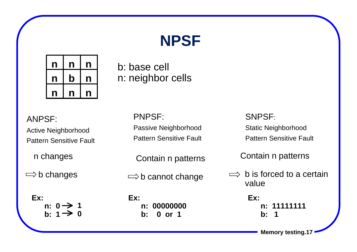# **NPSF**



b: base cell n: neighbor cells

ANPSF: Active Neighborhood Pattern Sensitive Fault

n changes

 $\Rightarrow$  b changes

**Ex: n: 0 b: 11 0** PNPSF: Passive Neighborhood Pattern Sensitive Fault

Contain n patterns

 $\Rightarrow$  b cannot change

 **n: 00000000**

 **b: 0 or 1**

**Ex:** 

SNPSF: Static Neighborhood Pattern Sensitive Fault

Contain n patterns

 b is forced to a certain value

> **Ex: n: 11111111 b: 1**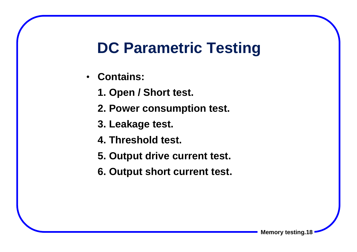### **DC Parametric Testing**

- **Contains:**
	- **1. Open / Short test.**
	- **2. Power consumption test.**
	- **3. Leakage test.**
	- **4. Threshold test.**
	- **5. Output drive current test.**
	- **6. Output short current test.**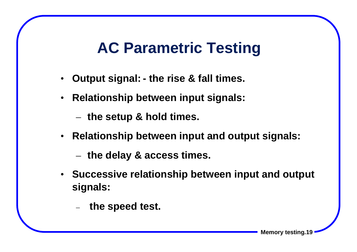### **AC Parametric Testing**

- **Output signal: the rise & fall times.**
- **Relationship between input signals:**

**the setup & hold times.**

- **Relationship between input and output signals:**
	- **the delay & access times.**
- **Successive relationship between input and output signals:**
	- **the speed test.**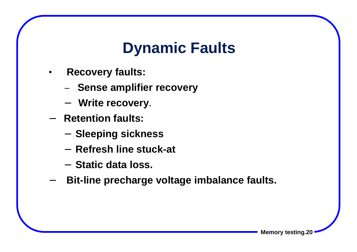# **Dynamic Faults**

- • **Recovery faults:**
	- −**Sense amplifier recovery**
	- <sup>−</sup> **Write recovery.**
- − **Retention faults:**
	- **Sleeping sickness**
	- − **Refresh line stuck-at**
	- − **Static data loss.**
- − **Bit-line precharge voltage imbalance faults.**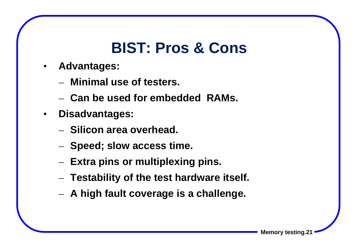### **BIST: Pros & Cons**

- $\bullet$  **Advantages:**
	- **Minimal use of testers.**
	- **Can be used for embedded RAMs.**
- **Disadvantages:**
	- **Silicon area overhead.**
	- $-$  Speed; slow access time.
	- **Extra pins or multiplexing pins.**
	- **Testability of the test hardware itself.**
	- **A high fault coverage is a challenge.**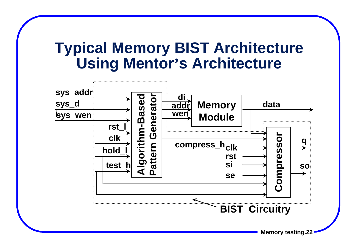#### **Typical Memory BIST Architecture Using Mentor 's Architecture**

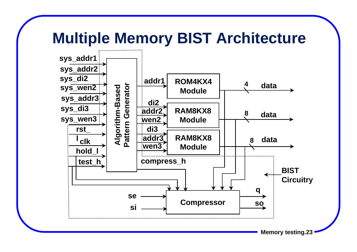### **Multiple Memory BIST Architecture**

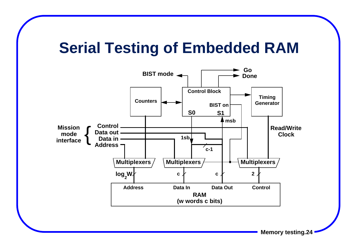### **Serial Testing of Embedded RAM**

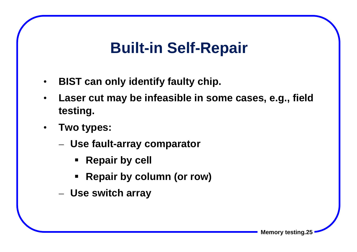### **Built-in Self-Repair**

- •**BIST can only identify faulty chip.**
- • **Laser cut may be infeasible in some cases, e.g., field testing.**
- • **Two types:**
	- **Use fault-array comparator**
		- **Example Propell**
		- **Repair by column (or row)**
	- **Use switch array**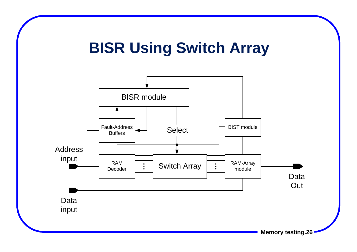# **BISR Using Switch Array**